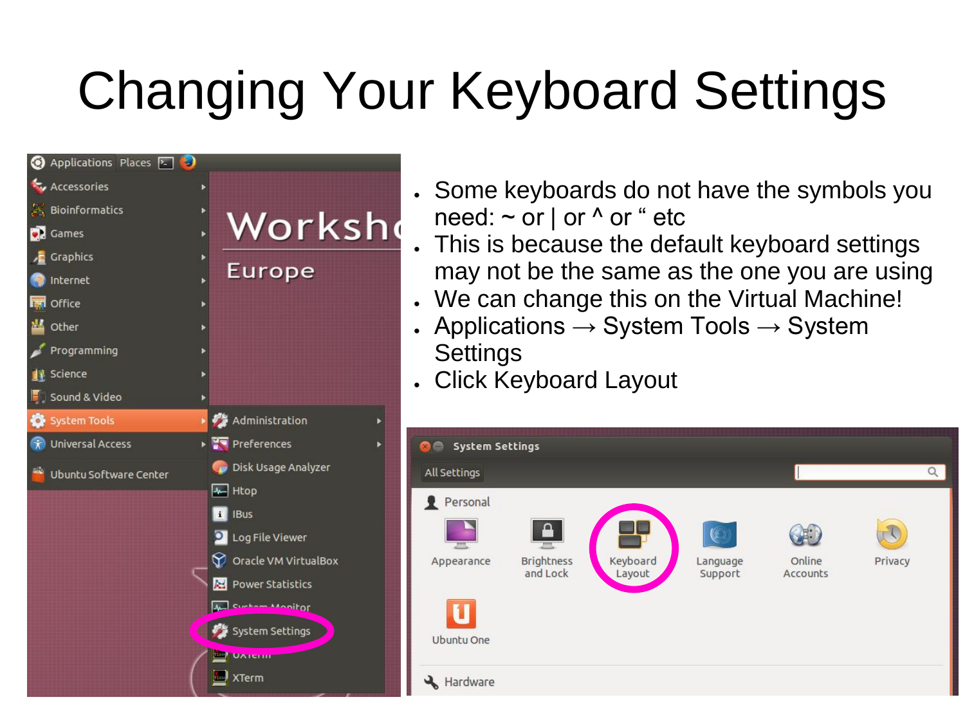

- Some keyboards do not have the symbols you need:  $\sim$  or | or  $\wedge$  or " etc
- This is because the default keyboard settings may not be the same as the one you are using
- . We can change this on the Virtual Machine!
- Applications  $\rightarrow$  System Tools  $\rightarrow$  System **Settings**
- **. Click Keyboard Layout**

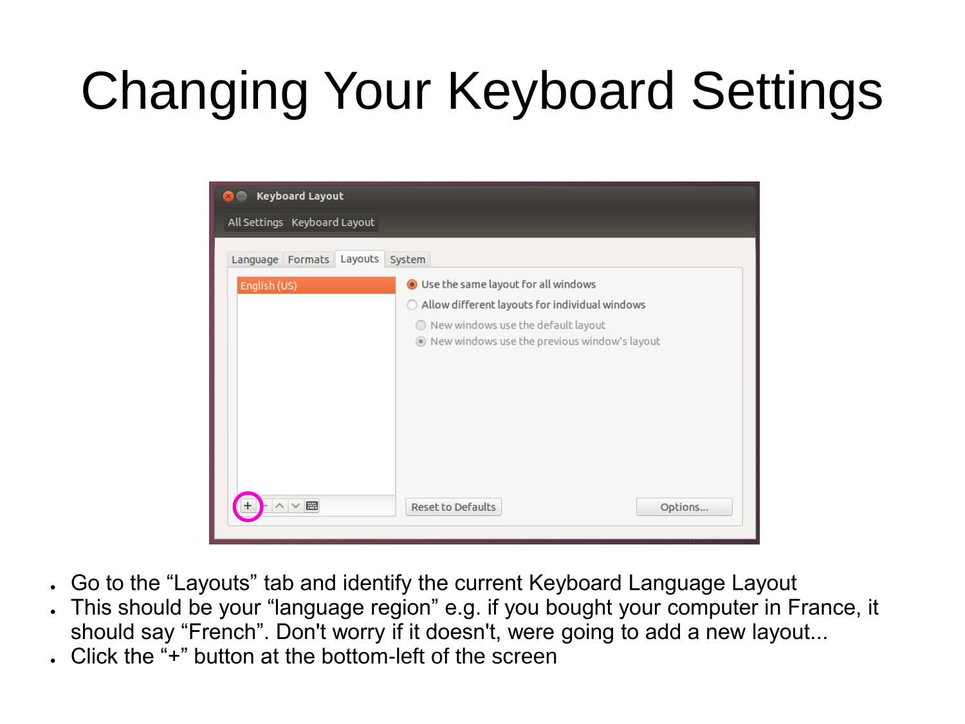

- Go to the "Layouts" tab and identify the current Keyboard Language Layout
- This should be your "language region" e.g. if you bought your computer in France, it should say "French". Don't worry if it doesn't, were going to add a new layout...
- . Click the " $+$ " button at the bottom-left of the screen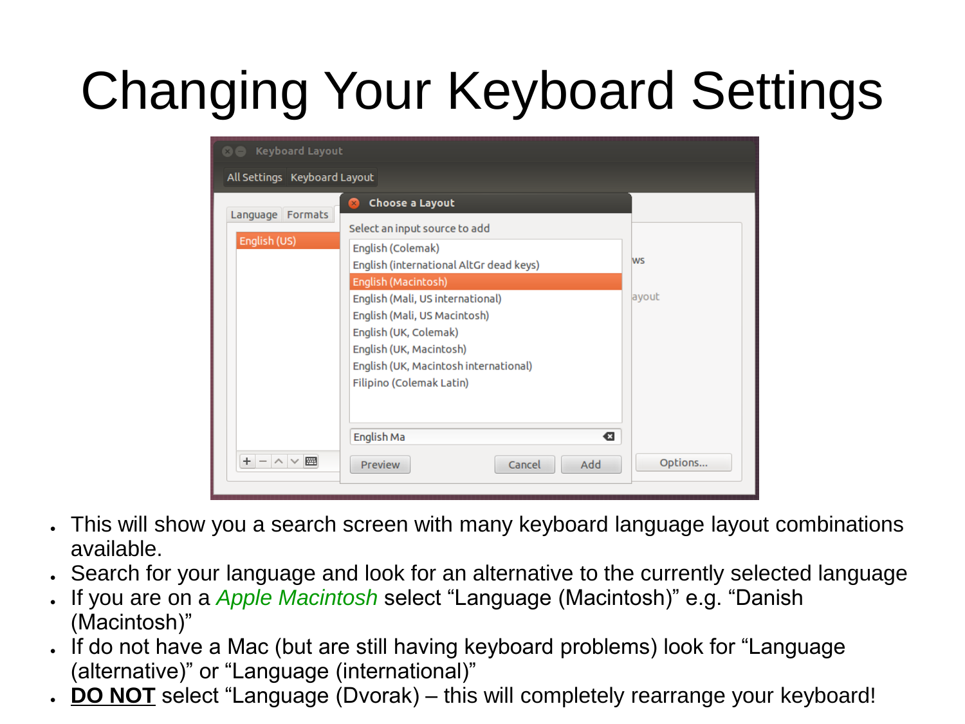| <b>@@</b> Keyboard Layout    |                                                                                                                                                                                                                  |           |  |
|------------------------------|------------------------------------------------------------------------------------------------------------------------------------------------------------------------------------------------------------------|-----------|--|
| All Settings Keyboard Layout |                                                                                                                                                                                                                  |           |  |
| Language Formats             | Choose a Layout<br>Select an input source to add                                                                                                                                                                 |           |  |
| English (US)                 | English (Colemak)<br>English (international AltGr dead keys)                                                                                                                                                     | <b>WS</b> |  |
|                              | English (Macintosh)<br>English (Mali, US international)<br>English (Mali, US Macintosh)<br>English (UK, Colemak)<br>English (UK, Macintosh)<br>English (UK, Macintosh international)<br>Filipino (Colemak Latin) | ayout     |  |
| $+$<br>网<br>$ \wedge$ $\vee$ | English Ma<br>€<br>Add<br>Cancel<br><b>Preview</b>                                                                                                                                                               | Options   |  |

- This will show you a search screen with many keyboard language layout combinations available.
- Search for your language and look for an alternative to the currently selected language
- If you are on a *Apple Macintosh* select "Language (Macintosh)" e.g. "Danish (Macintosh)"
- If do not have a Mac (but are still having keyboard problems) look for "Language (alternative)" or "Language (international)"
- **DO NOT** select "Language (Dvorak) this will completely rearrange your keyboard!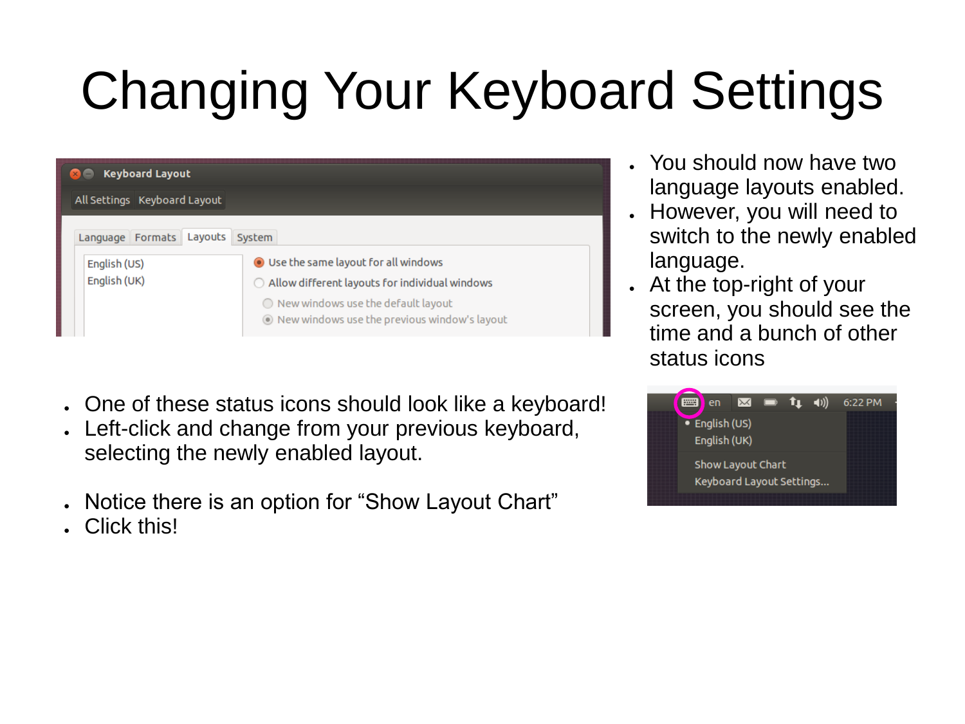| <b>Keyboard Layout</b>                                   |                                                                                                                                                                                                                             |  |
|----------------------------------------------------------|-----------------------------------------------------------------------------------------------------------------------------------------------------------------------------------------------------------------------------|--|
| All Settings Keyboard Layout                             |                                                                                                                                                                                                                             |  |
| Language Formats Layouts<br>English (US)<br>English (UK) | System<br><b>O</b> Use the same layout for all windows<br>$\bigcirc$ Allow different layouts for individual windows<br>$\bigcirc$ New windows use the default layout<br>layout Mew windows use the previous window's layout |  |

- One of these status icons should look like a keyboard!
- Left-click and change from your previous keyboard, selecting the newly enabled layout.
- Notice there is an option for "Show Layout Chart"
- Click this!
- You should now have two language layouts enabled.
- However, you will need to switch to the newly enabled language.
- At the top-right of your screen, you should see the time and a bunch of other status icons